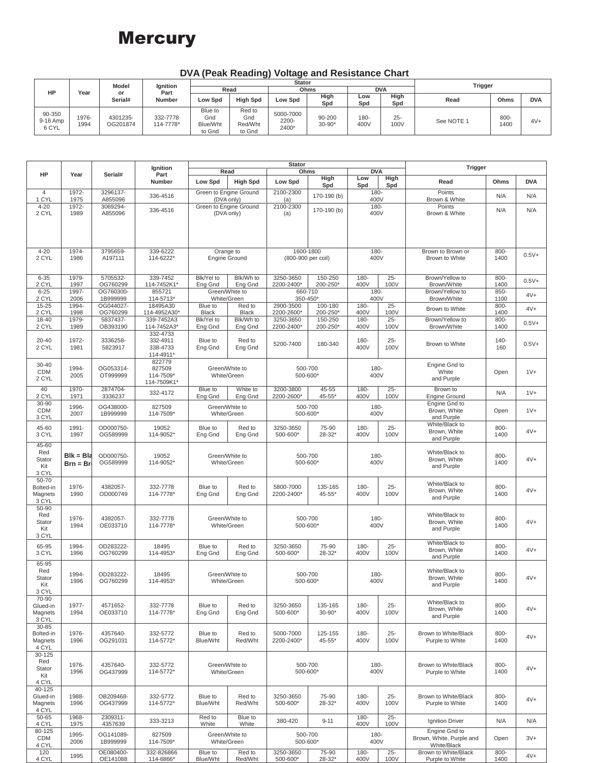## **Mercury**

| $\sim$ , $\sim$ can now angle $\sim$ now now allow $\sim$ |                        |                                   |                            |                          |                             |                      |                      |                |            |              |            |
|-----------------------------------------------------------|------------------------|-----------------------------------|----------------------------|--------------------------|-----------------------------|----------------------|----------------------|----------------|------------|--------------|------------|
| Year                                                      | Model<br>or<br>Serial# | Ignition<br>Part<br><b>Number</b> |                            |                          |                             | <b>Trigger</b>       |                      |                |            |              |            |
|                                                           |                        |                                   | Read                       |                          | Ohms                        |                      |                      |                | <b>DVA</b> |              |            |
|                                                           |                        |                                   | Low Spd                    | <b>High Spd</b>          | <b>Low Spd</b>              | High                 | Low                  | High           | Read       | Ohms         | <b>DVA</b> |
| 1976-<br>1994                                             | 4301235-<br>OG201874   | 332-7778<br>114-7778*             | Blue to<br>Gnd<br>Blue/Wht | Red to<br>Gnd<br>Red/Wht | 5000-7000<br>2200-<br>2400* | 90-200<br>$30 - 90*$ | $180 -$<br>400V      | $25 -$<br>100V | See NOTE 1 | 800-<br>1400 | $4V+$      |
|                                                           |                        |                                   |                            | to Gnd                   | to Gnd                      |                      | <b>Stator</b><br>Spd | Spd            | Spd        |              |            |

**DVA (Peak Reading) Voltage and Resistance Chart**

|                                                      |                           | Serial#               | Ignition<br>Part<br>Number                    |                                      | Read                   | <b>Stator</b><br>Ohms           |                       | <b>DVA</b>      |                | <b>Trigger</b>                                           |                 |            |
|------------------------------------------------------|---------------------------|-----------------------|-----------------------------------------------|--------------------------------------|------------------------|---------------------------------|-----------------------|-----------------|----------------|----------------------------------------------------------|-----------------|------------|
| HP                                                   | Year                      |                       |                                               | Low Spd                              | <b>High Spd</b>        | Low Spd                         | High<br>Spd           | Low<br>Spd      | High<br>Spd    | Read                                                     | Ohms            | <b>DVA</b> |
| $\overline{4}$<br>1 CYL                              | 1972-<br>1975             | 3296137-<br>A855096   | 336-4516                                      | Green to Engine Ground<br>(DVA only) |                        | 2100-2300<br>(a)                | 170-190 (b)           | 180-<br>400V    |                | Points<br>Brown & White                                  | N/A             | N/A        |
| $4 - 20$<br>2 CYL                                    | 1972-<br>1989             | 3069294-<br>A855096   | 336-4516                                      | Green to Engine Ground<br>(DVA only) |                        | 2100-2300<br>(a)                | 170-190 (b)           | 180-<br>400V    |                | Points<br>Brown & White                                  | N/A             | N/A        |
|                                                      |                           |                       |                                               |                                      |                        |                                 |                       |                 |                |                                                          |                 |            |
| $4 - 20$<br>2 CYL                                    | 1974-<br>1986             | 3795659-<br>A197111   | 339-6222<br>114-6222*                         | Orange to<br><b>Engine Ground</b>    |                        | 1600-1800<br>(800-900 per coil) |                       | $180 -$<br>400V |                | Brown to Brown or<br>Brown to White                      | 800-<br>1400    | $0.5V +$   |
| $6 - 35$<br>2 CYL                                    | 1979-<br>1997             | 5705532-<br>OG760299  | 339-7452<br>114-7452K1*                       | Blk/Yel to<br>Ena Gnd                | Blk/Wh to<br>Eng Gnd   | 3250-3650<br>2200-2400*         | 150-250<br>200-250*   | 180-<br>400V    | $25 -$<br>100V | Brown/Yellow to<br>Brown/White                           | 800-<br>1400    | $0.5V +$   |
| $6 - 25$<br>2 CYL                                    | 1997-<br>2006             | OG760300-<br>1B999999 | 855721<br>114-5713*                           | Green/White to<br>White/Green        |                        | 660-710<br>350-450*             |                       | 180-<br>400V    |                | Brown/Yellow to<br>Brown/White                           | $850 -$<br>1100 | $4V +$     |
| 15-25<br>2 CYL                                       | 1994-<br>1998             | OG044027-<br>OG760299 | 18495A30<br>114-4952A30*                      | Blue to<br><b>Black</b>              | Red to<br><b>Black</b> | 2900-3500<br>2200-2600*         | 100-180<br>200-250*   | 180-<br>400V    | $25 -$<br>100V | Brown to White                                           | 800-<br>1400    | $4V +$     |
| 18-40<br>2 CYL                                       | 1979-<br>1989             | 5837437-<br>OB393190  | 339-7452A3<br>114-7452A3*                     | Blk/Yel to<br>Eng Gnd                | Blk/Wh to<br>Eng Gnd   | 3250-3650<br>2200-2400*         | 150-250<br>200-250*   | 180-<br>400V    | $25 -$<br>100V | Brown/Yellow to<br>Brown/White                           | 800-<br>1400    | $0.5V +$   |
| 20-40<br>2 CYL                                       | 1972-<br>1981             | 3336258-<br>5823917   | 332-4733<br>332-4911<br>338-4733<br>114-4911* | Blue to<br>Eng Gnd                   | Red to<br>Eng Gnd      | 5200-7400                       | 180-340               | 180-<br>400V    | $25 -$<br>100V | Brown to White                                           | $140 -$<br>160  | $0.5V +$   |
| 30-40<br><b>CDM</b><br>2 CYL                         | 1994-<br>2005             | OG053314-<br>OT999999 | 822779<br>827509<br>114-7509*<br>114-7509K1*  | Green/White to<br>White/Green        |                        | 500-700<br>500-600*             |                       | 180-<br>400V    |                | Engine Gnd to<br>White<br>and Purple                     | Open            | $1V +$     |
| 40<br>2 CYL                                          | 1970-<br>1971             | 2874704-<br>3336237   | 332-4172                                      | Blue to<br>Eng Gnd                   | White to<br>Eng Gnd    | 3200-3800<br>2200-2600*         | 45-55<br>45-55*       | 180-<br>400V    | $25 -$<br>100V | Brown to<br><b>Engine Ground</b>                         | N/A             | $1V +$     |
| 30-90<br><b>CDM</b><br>3 CYL                         | 1996-<br>2007             | OG438000-<br>1B999999 | 827509<br>114-7509*                           | Green/White to<br>White/Green        |                        | 500-700<br>500-600*             |                       | 180-<br>400V    |                | Engine Gnd to<br>Brown, White<br>and Purple              | Open            | $1V +$     |
| 45-60<br>3 CYL                                       | 1991-<br>1997             | OD000750-<br>OG589999 | 19052<br>114-9052*                            | Blue to<br>Eng Gnd                   | Red to<br>Eng Gnd      | 3250-3650<br>500-600*           | 75-90<br>28-32*       | $180 -$<br>400V | $25 -$<br>100V | White/Black to<br>Brown, White<br>and Purple             | 800-<br>1400    | $4V +$     |
| 45-60<br>Red<br>Stator<br>Kit<br>3 CYL               | $Blk = Bla$<br>$Brn = Br$ | OD000750-<br>OG589999 | 19052<br>114-9052*                            | Green/White to<br>White/Green        |                        | 500-700<br>500-600*             |                       | 180-<br>400V    |                | White/Black to<br>Brown, White<br>and Purple             | 800-<br>1400    | $4V +$     |
| 50-70<br>Bolted-in<br>Magnets<br>3 CYL               | 1976-<br>1990             | 4382057-<br>OD000749  | 332-7778<br>114-7778*                         | Blue to<br>Eng Gnd                   | Red to<br>Eng Gnd      | 5800-7000<br>2200-2400*         | 135-165<br>45-55*     | 180-<br>400V    | $25 -$<br>100V | White/Black to<br>Brown, White<br>and Purple             | 800-<br>1400    | $4V +$     |
| 50-90<br>Red<br>Stator<br>Kit<br>3 CYL               | 1976-<br>1994             | 4382057-<br>OE033710  | 332-7778<br>114-7778*                         | Green/White to<br>White/Green        |                        | 500-700<br>500-600*             |                       | 180-<br>400V    |                | White/Black to<br>Brown, White<br>and Purple             | 800-<br>1400    | $4V +$     |
| 65-95<br>3 CYL                                       | 1994-<br>1996             | OD283222-<br>OG760299 | 18495<br>114-4953*                            | Blue to<br>Eng Gnd                   | Red to<br>Eng Gnd      | 3250-3650<br>500-600*           | 75-90<br>28-32*       | $180 -$<br>400V | $25 -$<br>100V | White/Black to<br>Brown, White<br>and Purple             | $800 -$<br>1400 | $4V +$     |
| 65-95<br>Red<br>Stator<br>Kit<br>3 CYL               | 1994-<br>1996             | OD283222-<br>OG760299 | 18495<br>114-4953*                            | Green/White to<br>White/Green        |                        | 500-700<br>500-600*             |                       | 180-<br>400V    |                | White/Black to<br>Brown, White<br>and Purple             | 800-<br>1400    | $4V +$     |
| 70-90<br>Glued-in<br>Magnets<br>3 CYL                | 1977-<br>1994             | 4571652-<br>OE033710  | 332-7778<br>114-7778*                         | Blue to<br>Eng Gnd                   | Red to<br>Eng Gnd      | 3250-3650<br>500-600*           | 135-165<br>$30 - 90*$ | 180-<br>400V    | $25 -$<br>100V | White/Black to<br>Brown, White<br>and Purple             | 800-<br>1400    | $4V +$     |
| 30-85<br>Bolted-in<br>Magnets<br>4 CYL<br>$30 - 125$ | 1976-<br>1996             | 4357640-<br>OG291031  | 332-5772<br>114-5772*                         | Blue to<br>Blue/Wht                  | Red to<br>Red/Wht      | 5000-7000<br>2200-2400*         | 125-155<br>45-55*     | 180-<br>400V    | $25 -$<br>100V | Brown to White/Black<br>Purple to White                  | 800-<br>1400    | $4V +$     |
| Red<br>Stator<br>Kit<br>4 CYL                        | 1976-<br>1996             | 4357640-<br>OG437999  | 332-5772<br>114-5772*                         | Green/White to<br>White/Green        |                        | 500-700<br>500-600*             |                       | 180-<br>400V    |                | Brown to White/Black<br>Purple to White                  | 800-<br>1400    | $4V +$     |
| 40-125<br>Glued-in<br>Magnets<br>4 CYL               | 1988-<br>1996             | OB209468-<br>OG437999 | 332-5772<br>114-5772*                         | Blue to<br>Blue/Wht                  | Red to<br>Red/Wht      | 3250-3650<br>500-600*           | 75-90<br>$28 - 32*$   | 180-<br>400V    | $25 -$<br>100V | Brown to White/Black<br>Purple to White                  | 800-<br>1400    | $4V +$     |
| 50-65<br>4 CYL                                       | 1968-<br>1975             | 2309311-<br>4357639   | 333-3213                                      | Red to<br>White                      | Blue to<br>White       | 380-420                         | $9 - 11$              | $180 -$<br>400V | $25 -$<br>100V | Ignition Driver                                          | N/A             | N/A        |
| 80-125<br><b>CDM</b><br>4 CYL                        | 1995-<br>2006             | OG141089-<br>1B999999 | 827509<br>114-7509*                           | Green/White to<br>White/Green        |                        | 500-700<br>500-600*             |                       | 180-<br>400V    |                | Engine Gnd to<br>Brown, White, Purple and<br>White/Black | Open            | $3V +$     |
| 120<br>4 CYL                                         | 1995                      | OE080400-<br>OE141088 | 332-826866<br>114-6866*                       | Blue to<br>Blue/Wht                  | Red to<br>Red/Wht      | 3250-3650<br>500-600*           | 75-90<br>$28 - 32*$   | 180-<br>400V    | $25 -$<br>100V | Brown to White/Black<br>Purple to White                  | 800-<br>1400    | $4V +$     |